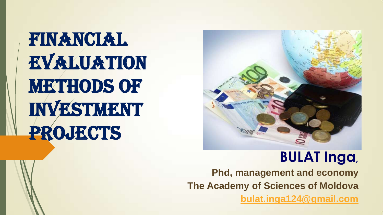FINANCIAL **EVALUATION METHODS OF** Investment PROJECTS



## **BULAT Inga,**

**Phd, management and economy The Academy of Sciences of Moldova [bulat.inga124@gmail.com](mailto:bulat.inga124@gmail.com)**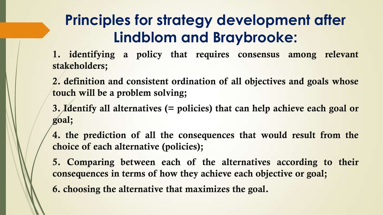## **Principles for strategy development after Lindblom and Braybrooke:**

**1. identifying a policy that requires consensus among relevant stakeholders;**

- **2. definition and consistent ordination of all objectives and goals whose touch will be a problem solving;**
- **3. Identify all alternatives (= policies) that can help achieve each goal or goal;**
- **4. the prediction of all the consequences that would result from the choice of each alternative (policies);**
- **5. Comparing between each of the alternatives according to their consequences in terms of how they achieve each objective or goal;**
- **6. choosing the alternative that maximizes the goal.**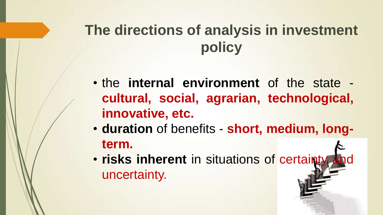# **The directions of analysis in investment policy**

- the **internal environment** of the state **cultural, social, agrarian, technological, innovative, etc.**
- **duration** of benefits **short, medium, longterm.**
- **risks inherent** in situations of certainty uncertainty.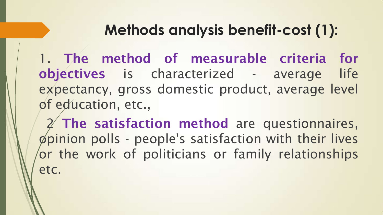## **Methods analysis benefit-cost (1):**

1. **The method of measurable criteria for objectives** is characterized - average life expectancy, gross domestic product, average level of education, etc.,

2 **The satisfaction method** are questionnaires, opinion polls - people's satisfaction with their lives or the work of politicians or family relationships etc.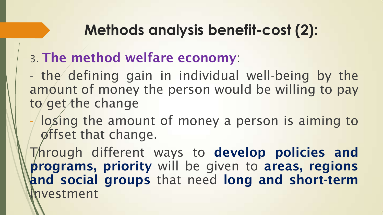## **Methods analysis benefit-cost (2):**

#### 3. **The method welfare economy**:

- the defining gain in individual well-being by the amount of money the person would be willing to pay to get the change

- losing the amount of money a person is aiming to offset that change.

Through different ways to **develop policies and programs, priority** will be given to **areas, regions and social groups** that need **long and short-term** vestment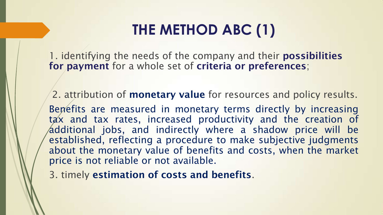## **THE METHOD ABC (1)**

1. identifying the needs of the company and their **possibilities for payment** for a whole set of **criteria or preferences**;

2. attribution of **monetary value** for resources and policy results. Benefits are measured in monetary terms directly by increasing tax and tax rates, increased productivity and the creation of additional jobs, and indirectly where a shadow price will be established, reflecting a procedure to make subjective judgments about the monetary value of benefits and costs, when the market price is not reliable or not available.

3. timely **estimation of costs and benefits**.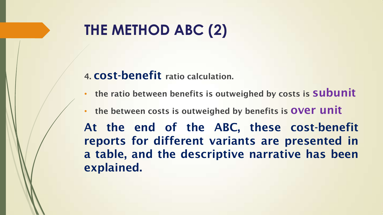## **THE METHOD ABC (2)**

#### **4. cost-benefit ratio calculation.**

- **the ratio between benefits is outweighed by costs is subunit**
- **the between costs is outweighed by benefits is over unit**

**At the end of the ABC, these cost-benefit reports for different variants are presented in a table, and the descriptive narrative has been explained.**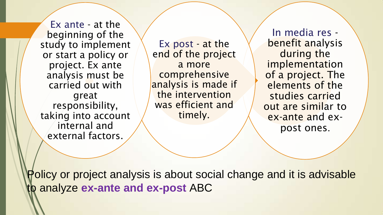Ex ante - at the beginning of the study to implement or start a policy or project. Ex ante analysis must be carried out with great responsibility, taking into account internal and external factors.

Ex post - at the end of the project a more comprehensive analysis is made if the intervention was efficient and timely.

In media res benefit analysis during the implementation of a project. The elements of the studies carried out are similar to ex-ante and expost ones.

Policy or project analysis is about social change and it is advisable to analyze **ex-ante and ex-post** ABC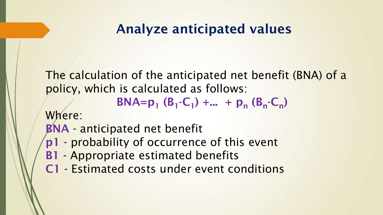## **Analyze anticipated values**

The calculation of the anticipated net benefit (BNA) of a policy, which is calculated as follows:

**BNA=** $p_1$  ( $B_1$ - $C_1$ ) +... +  $p_n$  ( $B_n$ - $C_n$ )

Where:

**BNA** - anticipated net benefit

- **p1** probability of occurrence of this event
- **B1** Appropriate estimated benefits
- **C1** Estimated costs under event conditions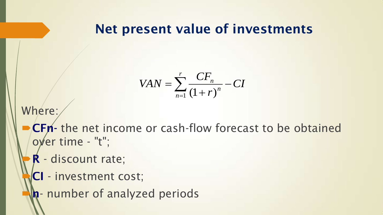#### **Net present value of investments**

$$
VAN = \sum_{n=1}^{r} \frac{CF_n}{(1+r)^n} - CI
$$

Where:

- **CFn-** the net income or cash-flow forecast to be obtained over time - "t";
	- **R** discount rate;
	- **CI** investment cost;
	- **n** number of analyzed periods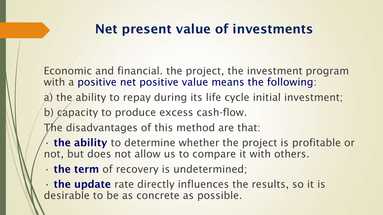#### **Net present value of investments**

Economic and financial. the project, the investment program with a positive net positive value means the following:

- a) the ability to repay during its life cycle initial investment;
- b) capacity to produce excess cash-flow.
- The disadvantages of this method are that:
- **the ability** to determine whether the project is profitable or not, but does not allow us to compare it with others.
- **the term** of recovery is undetermined;
- **the update** rate directly influences the results, so it is desirable to be as concrete as possible.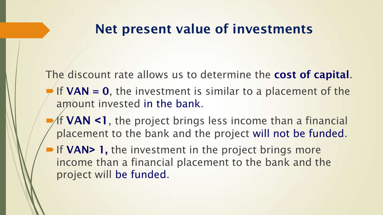#### **Net present value of investments**

The discount rate allows us to determine the **cost of capital**.

- If  $VAN = 0$ , the investment is similar to a placement of the amount invested in the bank.
- If **VAN ˂1**, the project brings less income than a financial placement to the bank and the project will not be funded.
- **► If VAN> 1, the investment in the project brings more** income than a financial placement to the bank and the project will be funded.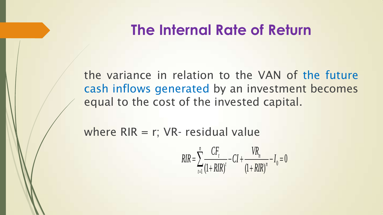## **The Internal Rate of Return**

the variance in relation to the VAN of the future cash inflows generated by an investment becomes equal to the cost of the invested capital.

where  $RIR = r$ ; VR- residual value

$$
RIR = \sum_{t=1}^{n} \frac{CF_{t}}{(1 + RIR)^{t}} - CI + \frac{VR_{n}}{(1 + RIR)^{n}} - I_{0} = 0
$$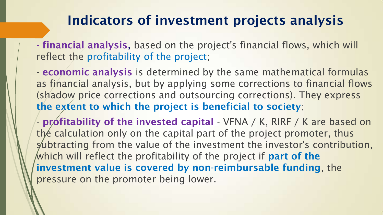#### **Indicators of investment projects analysis**

**- financial analysis**, based on the project's financial flows, which will reflect the profitability of the project;

- **economic analysis** is determined by the same mathematical formulas as financial analysis, but by applying some corrections to financial flows (shadow price corrections and outsourcing corrections). They express **the extent to which the project is beneficial to society**;

- **profitability of the invested capital** - VFNA / K, RIRF / K are based on the calculation only on the capital part of the project promoter, thus subtracting from the value of the investment the investor's contribution, which will reflect the profitability of the project if **part of the investment value is covered by non-reimbursable funding**, the pressure on the promoter being lower.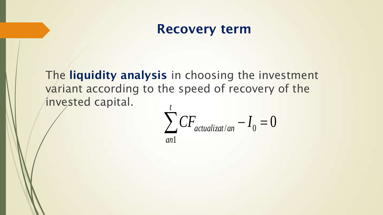#### **Recovery term**

The **liquidity analysis** in choosing the investment variant according to the speed of recovery of the invested capital. *t*

$$
\sum_{an1}^{l} CF_{actualizat/an} - I_0 = 0
$$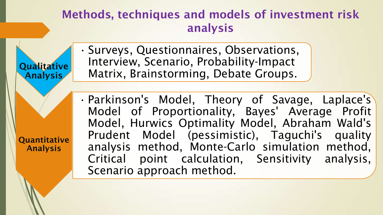#### **Methods, techniques and models of investment risk analysis**

• Surveys, Questionnaires, Observations, Interview, Scenario, Probability-Impact Matrix, Brainstorming, Debate Groups.

**Qualitative** 

**Analysis**

**Quantitative** 

**Analysis** 

• Parkinson's Model, Theory of Savage, Laplace's Model of Proportionality, Bayes' Average Profit Model, Hurwics Optimality Model, Abraham Wald's Prudent Model (pessimistic), Taguchi's quality analysis method, Monte-Carlo simulation method, Critical point calculation, Sensitivity analysis, Scenario approach method.